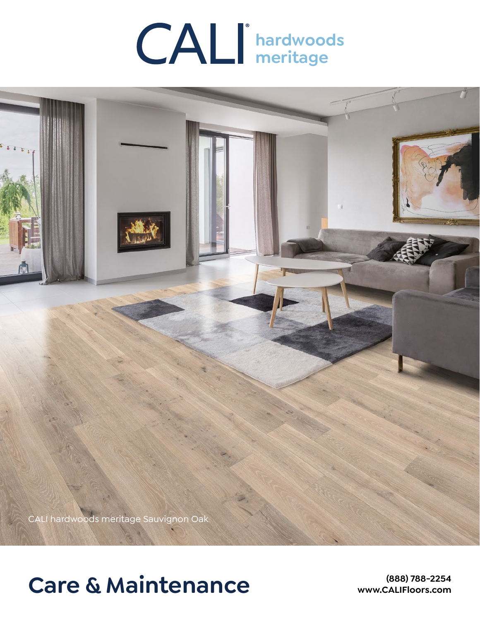



# **Care & Maintenance**

**(888) 788-2254 www.CALIFloors.com**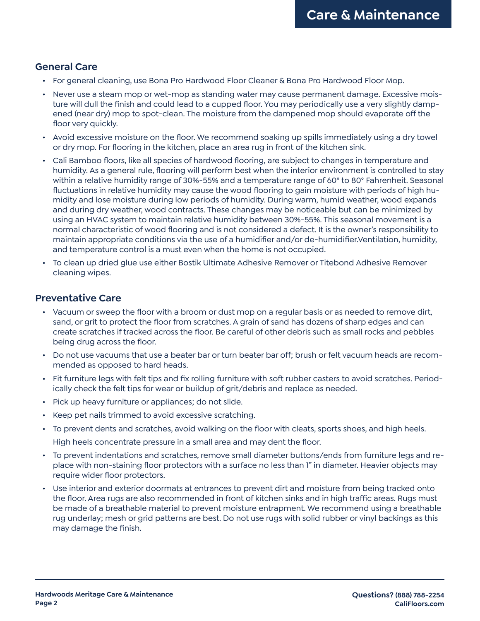## **General Care**

- For general cleaning, use Bona Pro Hardwood Floor Cleaner & Bona Pro Hardwood Floor Mop.
- Never use a steam mop or wet-mop as standing water may cause permanent damage. Excessive moisture will dull the finish and could lead to a cupped floor. You may periodically use a very slightly dampened (near dry) mop to spot-clean. The moisture from the dampened mop should evaporate off the floor very quickly.
- Avoid excessive moisture on the floor. We recommend soaking up spills immediately using a dry towel or dry mop. For flooring in the kitchen, place an area rug in front of the kitchen sink.
- Cali Bamboo floors, like all species of hardwood flooring, are subject to changes in temperature and humidity. As a general rule, flooring will perform best when the interior environment is controlled to stay within a relative humidity range of 30%-55% and a temperature range of 60° to 80° Fahrenheit. Seasonal fluctuations in relative humidity may cause the wood flooring to gain moisture with periods of high humidity and lose moisture during low periods of humidity. During warm, humid weather, wood expands and during dry weather, wood contracts. These changes may be noticeable but can be minimized by using an HVAC system to maintain relative humidity between 30%-55%. This seasonal movement is a normal characteristic of wood flooring and is not considered a defect. It is the owner's responsibility to maintain appropriate conditions via the use of a humidifier and/or de-humidifier.Ventilation, humidity, and temperature control is a must even when the home is not occupied.
- To clean up dried glue use either Bostik Ultimate Adhesive Remover or Titebond Adhesive Remover cleaning wipes.

## **Preventative Care**

- Vacuum or sweep the floor with a broom or dust mop on a regular basis or as needed to remove dirt, sand, or grit to protect the floor from scratches. A grain of sand has dozens of sharp edges and can create scratches if tracked across the floor. Be careful of other debris such as small rocks and pebbles being drug across the floor.
- Do not use vacuums that use a beater bar or turn beater bar off; brush or felt vacuum heads are recommended as opposed to hard heads.
- Fit furniture legs with felt tips and fix rolling furniture with soft rubber casters to avoid scratches. Periodically check the felt tips for wear or buildup of grit/debris and replace as needed.
- Pick up heavy furniture or appliances; do not slide.
- Keep pet nails trimmed to avoid excessive scratching.
- To prevent dents and scratches, avoid walking on the floor with cleats, sports shoes, and high heels. High heels concentrate pressure in a small area and may dent the floor.
- To prevent indentations and scratches, remove small diameter buttons/ends from furniture legs and replace with non-staining floor protectors with a surface no less than 1" in diameter. Heavier objects may require wider floor protectors.
- Use interior and exterior doormats at entrances to prevent dirt and moisture from being tracked onto the floor. Area rugs are also recommended in front of kitchen sinks and in high traffic areas. Rugs must be made of a breathable material to prevent moisture entrapment. We recommend using a breathable rug underlay; mesh or grid patterns are best. Do not use rugs with solid rubber or vinyl backings as this may damage the finish.